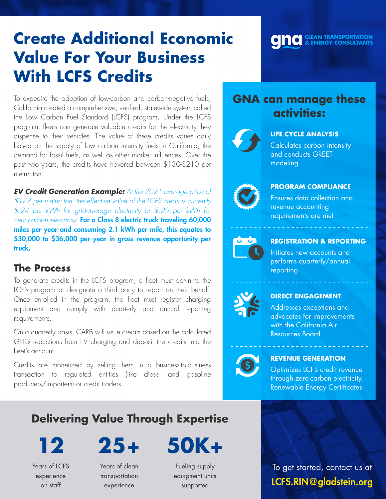# **Create Additional Economic Value For Your Business With LCFS Credits**

To expedite the adoption of low-carbon and carbon-negative fuels, California created a comprehensive, verified, statewide system called the Low Carbon Fuel Standard (LCFS) program. Under the LCFS program, fleets can generate valuable credits for the electricity they dispense to their vehicles. The value of these credits varies daily based on the supply of low carbon intensity fuels in California, the demand for fossil fuels, as well as other market influences. Over the past two years, the credits have hovered between \$130-\$210 per metric ton.

*EV Credit Generation Example: At the 2021 average price of \$177 per metric ton, the effective value of the LCFS credit is currently \$.24 per kWh for grid-average electricity or \$.29 per kWh for*  zero-carbon electricity. For a Class 8 electric truck traveling 60,000 miles per year and consuming 2.1 kWh per mile, this equates to \$30,000 to \$36,000 per year in gross revenue opportunity per truck.

### **The Process**

To generate credits in the LCFS program, a fleet must opt-in to the LCFS program or designate a third party to report on their behalf. Once enrolled in the program, the fleet must register charging equipment and comply with quarterly and annual reporting requirements.

On a quarterly basis, CARB will issue credits based on the calculated GHG reductions from EV charging and deposit the credits into the fleet's account.

Credits are monetized by selling them in a business-to-business transaction to regulated entities (like diesel and gasoline producers/importers) or credit traders.

## **Delivering Value Through Expertise**

**12**

Years of LCFS experience on staff



Years of clean transportation experience

**50K+**

Fueling supply equipment units supported

### **GNA can manage these activities:**



#### **LIFE CYCLE ANALYSIS**

Calculates carbon intensity and conducts GREET modeling



#### **PROGRAM COMPLIANCE**

Ensures data collection and revenue accounting requirements are met



#### **REGISTRATION & REPORTING**

Initiates new accounts and performs quarterly/annual reporting



### **DIRECT ENGAGEMENT**

Addresses exceptions and advocates for improvements with the California Air Resources Board



#### **REVENUE GENERATION**

Optimizes LCFS credit revenue through zero-carbon electricity, Renewable Energy Certificates

To get started, contact us at LCFS.RIN@gladstein.org

#### gna **CLEAN TRANSPORTATION & ENERGY CONSULTANTS**